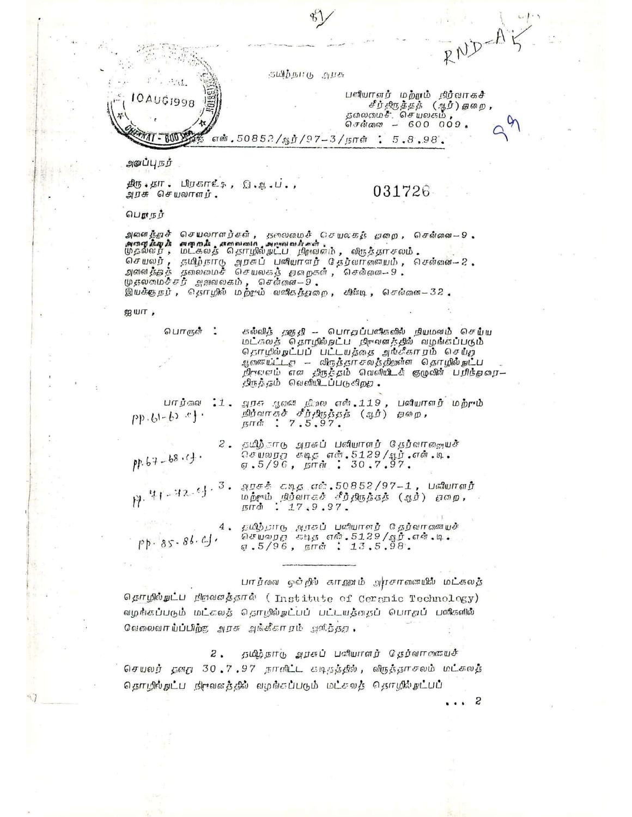$RNP-A$ ுமிற்*நா*டு அரசு பனியாளர் மற்றமை நிர்வாகச் loaugi998 சீர்திருத்தத் (ஆர்) தமை, .<br>தலைமைசீ: செயலகம்<br>சென்னை – 600 009, என்.5085?/ஆர்/97-3/நாள்: 5.8.98, அலப்பு நந்  $\beta$   $\sigma$   $\cdot$   $\beta$   $\sigma$   $\cdot$   $\beta$   $\cdot$   $\beta$   $\cdot$   $\beta$   $\cdot$   $\beta$   $\cdot$   $\beta$   $\cdot$   $\beta$   $\cdot$   $\beta$   $\cdot$   $\beta$ 031726 அரசு செயலாளர். பெயங் அவனத்தாச் செயலாளந்கள், தலவலமைச் செயலகர் தேவறை, செல்லை--9<br>அதைவியையை அதையில் கோலைவான அஷஙவங்கள்.<br>முதல்வர், மட்கலத் தொடும்யட்ட நிறுவனம், விருத்தாசலம். செயலர், தமிழ்நாடு அநீகப் பணியாரார் தேர்வாரணையம், லசன்னை 2.<br>அவனத்தத் தலைமைச் செயலகத் தமறுகள், லசன்னை 9.  $\psi$  நலைமைச்சர் அவலகம், சென்னை- $5$ . இயக்குநேப், தெராழில் மற்றும் வகிகத்துறை, கில்டி, செல்லடை32.  $\mathcal{B}$  山厂, கல்வித் தகதே - பொதப்பகிகளில் நியமனம் செய்ய பொருள் : மட்கலத் தொழில்நட்ப நிறவனத்தில் வழங்கப்படும் ் தொடும் பட்டியத்தை அங்கீகாரம் செய்த<br>ஆணையட்ட — விருத்தாசலத்திதுள்ள தொழில்நாட்ப<br>ஆணையட்ட — விருத்தாசலத்திதுள்ள தொழில்நாட்ப<br>நிருவவம் என திருத்தம் வெளியிடக் குழுவின் பரிந்தவர— திநத்தம் வெளியிடப்படுகிறத. பார்வை :1. அரசு மூலா நிலை என்.119, பனியாளர் மற்றும்<br>-b) :}<br>- நாள் : 7.5.97.  $pp(b)-b2$   $b$ <sup>1</sup>. 2. தமிந்தாடு அரசுப் பகியாளர் தேர்வானையுச் ົດ*ຍັ*ນລ<sub>ົ</sub>ກກໍ່ ສັດສຸດສາ.5129/ຊຸນີ້. ແລ້. ທີ່.<br>ສຸ 5/96, ຫຼຸກກໍ່ : 30.7.97.  $PP.67 - 68.7$ . ்பு - 12 <sup>6</sup> ) - <sup>3</sup> - *ஆரசுக் கடித எ*ங்.50852/97-1 , படியோளர்<br>மற்றும் நில்வாகச் சீர்திருத்தத் (ஆர்) <sub>சி</sub>றை,<br>நாள் : 17.9.97 4. தமிற்காடு அரசுப் படியோளர் தேர்வாகணயச் செயறைத் கடித் என். 5129/ஆர். என். டி.<br>ஏ. 5/96, நாள் : 13. 5.98.  $pp.85.86.01$ பார். லை ஒவ்றூல் காறுவம் அரசால யாக் மட்கலத் தொழில்நாட்ப நிறவனத்தால் (Institute of Ceranic Technology) வழங்கப்படும் மட்சலத் தொழில்நட்பப் பட்டயத்தைப் பொறுப் பணிகளில் ் ஒருவின் ப்பிர் அவை அங்கீகா நம் அளித்தது.  $z$  . தமிழ்நாடு அறசுப் பலியாளர் தெர்வானையச்

செயலர் தனது 30.7.97 நாளிட்ட கடிதத்தில், விருத்தாசலம் மட்சுலத்

தொறில்நுட்ப நிருவனத்தில் வழங்கப்படும் மட்சலத் தெருநில்நுட்பப்

S